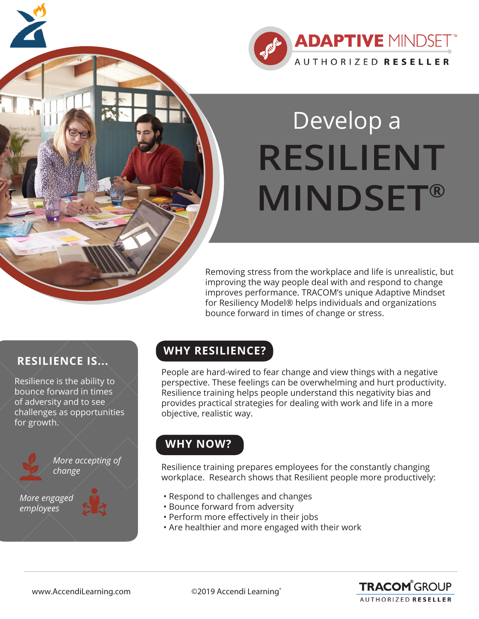

# Develop a **RESILIENT MINDSET®**

Removing stress from the workplace and life is unrealistic, but improving the way people deal with and respond to change improves performance. TRACOM's unique Adaptive Mindset for Resiliency Model® helps individuals and organizations bounce forward in times of change or stress.

## **RESILIENCE IS...**

Resilience is the ability to bounce forward in times of adversity and to see challenges as opportunities for growth.



*More accepting of*

*More engaged employees*

## **WHY RESILIENCE?**

People are hard-wired to fear change and view things with a negative perspective. These feelings can be overwhelming and hurt productivity. Resilience training helps people understand this negativity bias and provides practical strategies for dealing with work and life in a more objective, realistic way.

## **WHY NOW?**

Resilience training prepares employees for the constantly changing workplace. Research shows that Resilient people more productively:

- Respond to challenges and changes
- Bounce forward from adversity
- Perform more effectively in their jobs
- Are healthier and more engaged with their work